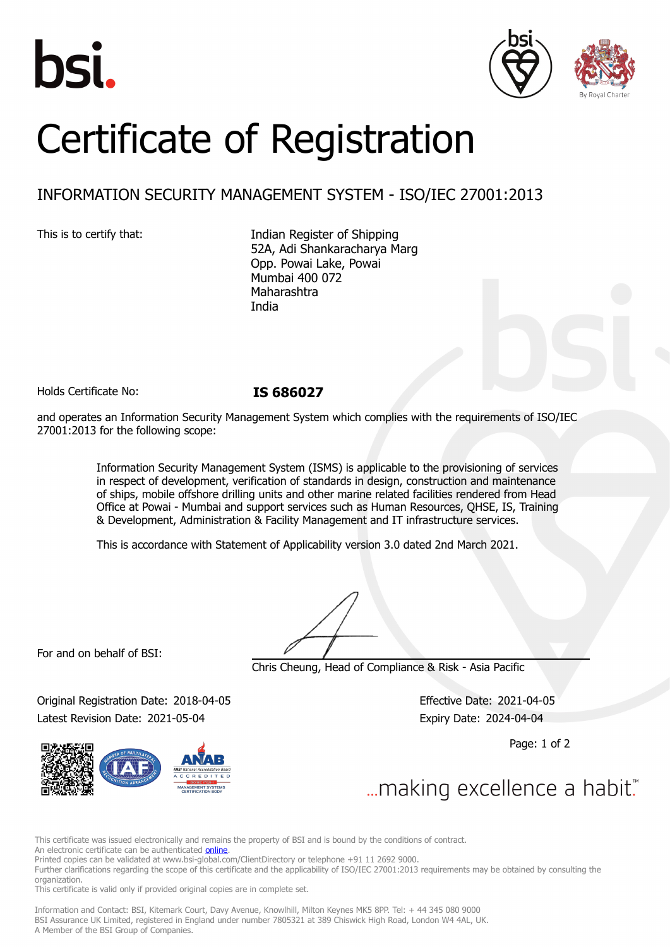





# Certificate of Registration

## INFORMATION SECURITY MANAGEMENT SYSTEM - ISO/IEC 27001:2013

This is to certify that: Indian Register of Shipping 52A, Adi Shankaracharya Marg Opp. Powai Lake, Powai Mumbai 400 072 Maharashtra India

Holds Certificate No: **IS 686027**

and operates an Information Security Management System which complies with the requirements of ISO/IEC 27001:2013 for the following scope:

> Information Security Management System (ISMS) is applicable to the provisioning of services in respect of development, verification of standards in design, construction and maintenance of ships, mobile offshore drilling units and other marine related facilities rendered from Head Office at Powai - Mumbai and support services such as Human Resources, QHSE, IS, Training & Development, Administration & Facility Management and IT infrastructure services.

This is accordance with Statement of Applicability version 3.0 dated 2nd March 2021.

For and on behalf of BSI:

Chris Cheung, Head of Compliance & Risk - Asia Pacific

Original Registration Date: 2018-04-05 Effective Date: 2021-04-05 Latest Revision Date: 2021-05-04 **Expiry Date: 2024-04-04** 

Page: 1 of 2



This certificate was issued electronically and remains the property of BSI and is bound by the conditions of contract.

An electronic certificate can be authenticated **[online](https://pgplus.bsigroup.com/CertificateValidation/CertificateValidator.aspx?CertificateNumber=IS+686027&ReIssueDate=04%2f05%2f2021&Template=india_en)**.

Printed copies can be validated at www.bsi-global.com/ClientDirectory or telephone +91 11 2692 9000.

Further clarifications regarding the scope of this certificate and the applicability of ISO/IEC 27001:2013 requirements may be obtained by consulting the organization.

This certificate is valid only if provided original copies are in complete set.

Information and Contact: BSI, Kitemark Court, Davy Avenue, Knowlhill, Milton Keynes MK5 8PP. Tel: + 44 345 080 9000 BSI Assurance UK Limited, registered in England under number 7805321 at 389 Chiswick High Road, London W4 4AL, UK. A Member of the BSI Group of Companies.